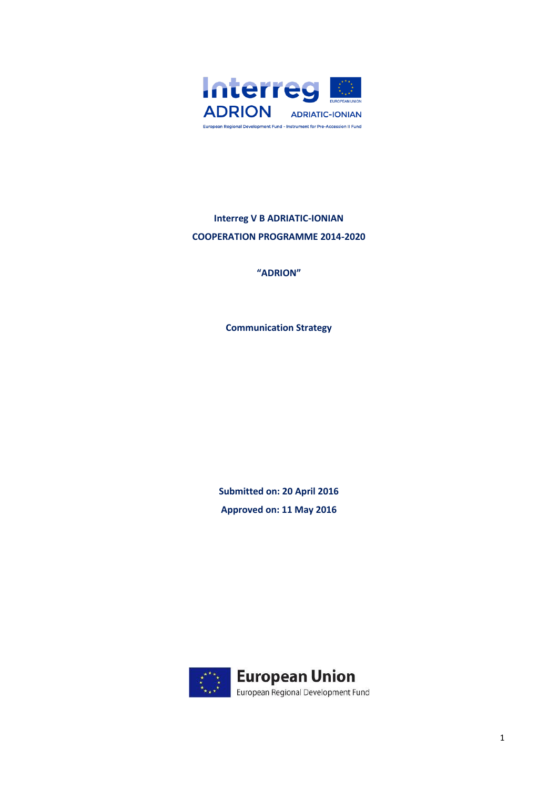

# **Interreg V B ADRIATIC-IONIAN COOPERATION PROGRAMME 2014-2020**

**"ADRION"**

**Communication Strategy**

**Submitted on: 20 April 2016 Approved on: 11 May 2016**

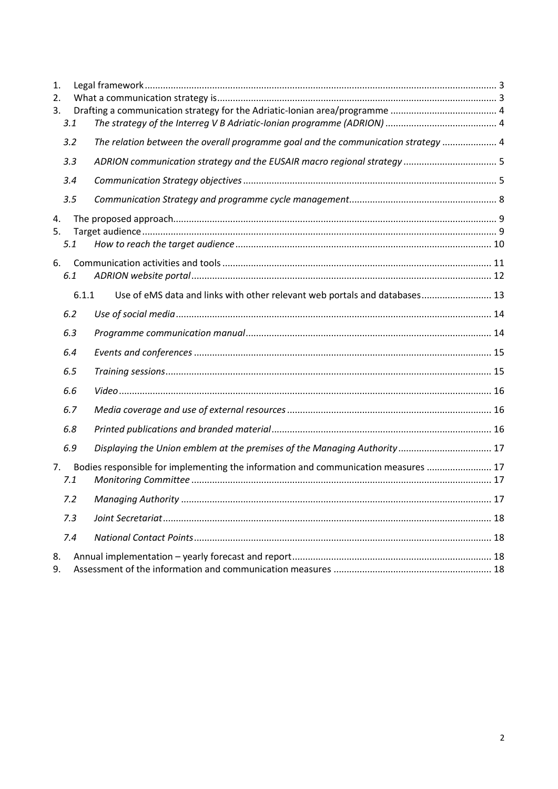| 1.       |       |                                                                                    |  |
|----------|-------|------------------------------------------------------------------------------------|--|
| 2.<br>3. |       |                                                                                    |  |
|          | 3.1   |                                                                                    |  |
|          | 3.2   | The relation between the overall programme goal and the communication strategy  4  |  |
|          | 3.3   |                                                                                    |  |
|          | 3.4   |                                                                                    |  |
|          | 3.5   |                                                                                    |  |
| 4.       |       |                                                                                    |  |
| 5.       |       |                                                                                    |  |
|          | 5.1   |                                                                                    |  |
| 6.       |       |                                                                                    |  |
|          | 6.1   |                                                                                    |  |
|          | 6.1.1 | Use of eMS data and links with other relevant web portals and databases 13         |  |
|          | 6.2   |                                                                                    |  |
|          | 6.3   |                                                                                    |  |
|          | 6.4   |                                                                                    |  |
|          | 6.5   |                                                                                    |  |
|          | 6.6   |                                                                                    |  |
|          | 6.7   |                                                                                    |  |
|          | 6.8   |                                                                                    |  |
|          | 6.9   |                                                                                    |  |
| 7.       | 7.1   | Bodies responsible for implementing the information and communication measures  17 |  |
|          | 7.2   |                                                                                    |  |
|          | 7.3   |                                                                                    |  |
|          | 7.4   |                                                                                    |  |
| 8.       |       |                                                                                    |  |
| 9.       |       |                                                                                    |  |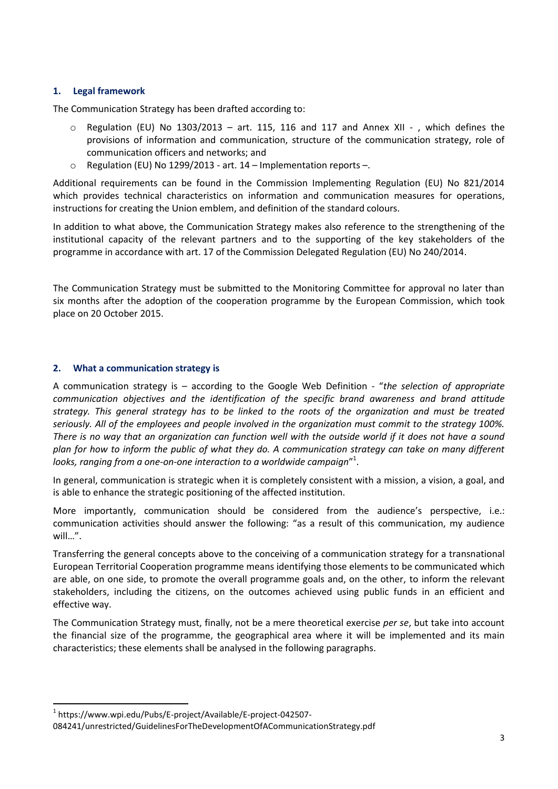# <span id="page-2-0"></span>**1. Legal framework**

The Communication Strategy has been drafted according to:

- $\circ$  Regulation (EU) No 1303/2013 art. 115, 116 and 117 and Annex XII -, which defines the provisions of information and communication, structure of the communication strategy, role of communication officers and networks; and
- Regulation (EU) No 1299/2013 art.  $14$  Implementation reports –.

Additional requirements can be found in the Commission Implementing Regulation (EU) No 821/2014 which provides technical characteristics on information and communication measures for operations, instructions for creating the Union emblem, and definition of the standard colours.

In addition to what above, the Communication Strategy makes also reference to the strengthening of the institutional capacity of the relevant partners and to the supporting of the key stakeholders of the programme in accordance with art. 17 of the Commission Delegated Regulation (EU) No 240/2014.

The Communication Strategy must be submitted to the Monitoring Committee for approval no later than six months after the adoption of the cooperation programme by the European Commission, which took place on 20 October 2015.

# <span id="page-2-1"></span>**2. What a communication strategy is**

A communication strategy is – according to the Google Web Definition - "*the selection of appropriate communication objectives and the identification of the specific brand awareness and brand attitude strategy. This general strategy has to be linked to the roots of the organization and must be treated seriously. All of the employees and people involved in the organization must commit to the strategy 100%. There is no way that an organization can function well with the outside world if it does not have a sound plan for how to inform the public of what they do. A communication strategy can take on many different looks, ranging from a one-on-one interaction to a worldwide campaign*" 1 .

In general, communication is strategic when it is completely consistent with a mission, a vision, a goal, and is able to enhance the strategic positioning of the affected institution.

More importantly, communication should be considered from the audience's perspective, i.e.: communication activities should answer the following: "as a result of this communication, my audience will…".

Transferring the general concepts above to the conceiving of a communication strategy for a transnational European Territorial Cooperation programme means identifying those elements to be communicated which are able, on one side, to promote the overall programme goals and, on the other, to inform the relevant stakeholders, including the citizens, on the outcomes achieved using public funds in an efficient and effective way.

The Communication Strategy must, finally, not be a mere theoretical exercise *per se*, but take into account the financial size of the programme, the geographical area where it will be implemented and its main characteristics; these elements shall be analysed in the following paragraphs.

 $\overline{a}$ 

<sup>1</sup> https://www.wpi.edu/Pubs/E-project/Available/E-project-042507-

<sup>084241/</sup>unrestricted/GuidelinesForTheDevelopmentOfACommunicationStrategy.pdf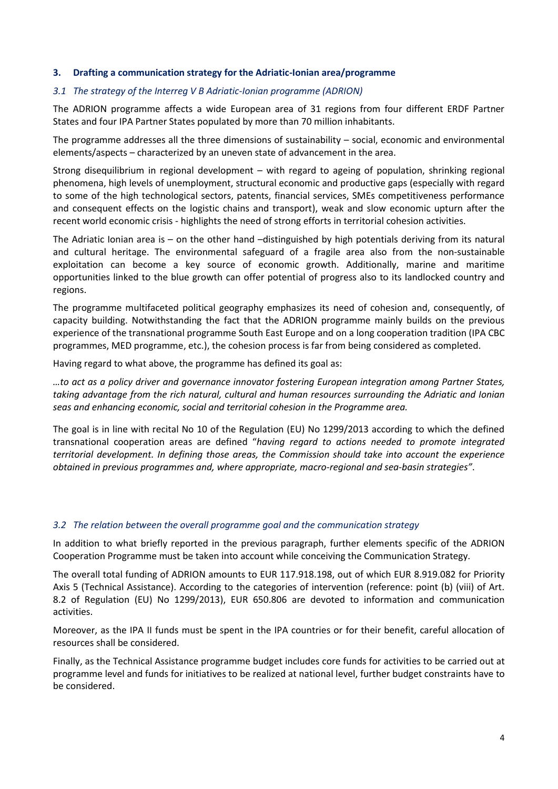## <span id="page-3-0"></span>**3. Drafting a communication strategy for the Adriatic-Ionian area/programme**

## <span id="page-3-1"></span>*3.1 The strategy of the Interreg V B Adriatic-Ionian programme (ADRION)*

The ADRION programme affects a wide European area of 31 regions from four different ERDF Partner States and four IPA Partner States populated by more than 70 million inhabitants.

The programme addresses all the three dimensions of sustainability – social, economic and environmental elements/aspects – characterized by an uneven state of advancement in the area.

Strong disequilibrium in regional development – with regard to ageing of population, shrinking regional phenomena, high levels of unemployment, structural economic and productive gaps (especially with regard to some of the high technological sectors, patents, financial services, SMEs competitiveness performance and consequent effects on the logistic chains and transport), weak and slow economic upturn after the recent world economic crisis - highlights the need of strong efforts in territorial cohesion activities.

The Adriatic Ionian area is – on the other hand –distinguished by high potentials deriving from its natural and cultural heritage. The environmental safeguard of a fragile area also from the non-sustainable exploitation can become a key source of economic growth. Additionally, marine and maritime opportunities linked to the blue growth can offer potential of progress also to its landlocked country and regions.

The programme multifaceted political geography emphasizes its need of cohesion and, consequently, of capacity building. Notwithstanding the fact that the ADRION programme mainly builds on the previous experience of the transnational programme South East Europe and on a long cooperation tradition (IPA CBC programmes, MED programme, etc.), the cohesion process is far from being considered as completed.

Having regard to what above, the programme has defined its goal as:

*…to act as a policy driver and governance innovator fostering European integration among Partner States, taking advantage from the rich natural, cultural and human resources surrounding the Adriatic and Ionian seas and enhancing economic, social and territorial cohesion in the Programme area.*

The goal is in line with recital No 10 of the Regulation (EU) No 1299/2013 according to which the defined transnational cooperation areas are defined "*having regard to actions needed to promote integrated territorial development. In defining those areas, the Commission should take into account the experience obtained in previous programmes and, where appropriate, macro-regional and sea-basin strategies"*.

## <span id="page-3-2"></span>*3.2 The relation between the overall programme goal and the communication strategy*

In addition to what briefly reported in the previous paragraph, further elements specific of the ADRION Cooperation Programme must be taken into account while conceiving the Communication Strategy.

The overall total funding of ADRION amounts to EUR 117.918.198, out of which EUR 8.919.082 for Priority Axis 5 (Technical Assistance). According to the categories of intervention (reference: point (b) (viii) of Art. 8.2 of Regulation (EU) No 1299/2013), EUR 650.806 are devoted to information and communication activities.

Moreover, as the IPA II funds must be spent in the IPA countries or for their benefit, careful allocation of resources shall be considered.

Finally, as the Technical Assistance programme budget includes core funds for activities to be carried out at programme level and funds for initiatives to be realized at national level, further budget constraints have to be considered.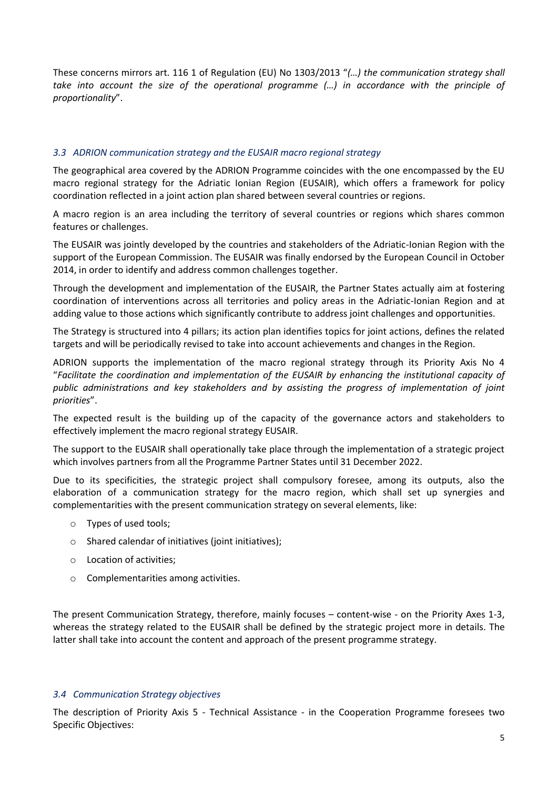These concerns mirrors art. 116 1 of Regulation (EU) No 1303/2013 "*(…) the communication strategy shall take into account the size of the operational programme (…) in accordance with the principle of proportionality*".

## <span id="page-4-0"></span>*3.3 ADRION communication strategy and the EUSAIR macro regional strategy*

The geographical area covered by the ADRION Programme coincides with the one encompassed by the EU macro regional strategy for the Adriatic Ionian Region (EUSAIR), which offers a framework for policy coordination reflected in a joint action plan shared between several countries or regions.

A macro region is an area including the territory of several countries or regions which shares common features or challenges.

The EUSAIR was jointly developed by the countries and stakeholders of the Adriatic-Ionian Region with the support of the European Commission. The EUSAIR was finally endorsed by the European Council in October 2014, in order to identify and address common challenges together.

Through the development and implementation of the EUSAIR, the Partner States actually aim at fostering coordination of interventions across all territories and policy areas in the Adriatic-Ionian Region and at adding value to those actions which significantly contribute to address joint challenges and opportunities.

The Strategy is structured into 4 pillars; its action plan identifies topics for joint actions, defines the related targets and will be periodically revised to take into account achievements and changes in the Region.

ADRION supports the implementation of the macro regional strategy through its Priority Axis No 4 "*Facilitate the coordination and implementation of the EUSAIR by enhancing the institutional capacity of public administrations and key stakeholders and by assisting the progress of implementation of joint priorities*".

The expected result is the building up of the capacity of the governance actors and stakeholders to effectively implement the macro regional strategy EUSAIR.

The support to the EUSAIR shall operationally take place through the implementation of a strategic project which involves partners from all the Programme Partner States until 31 December 2022.

Due to its specificities, the strategic project shall compulsory foresee, among its outputs, also the elaboration of a communication strategy for the macro region, which shall set up synergies and complementarities with the present communication strategy on several elements, like:

- o Types of used tools;
- o Shared calendar of initiatives (joint initiatives);
- o Location of activities;
- o Complementarities among activities.

The present Communication Strategy, therefore, mainly focuses – content-wise - on the Priority Axes 1-3, whereas the strategy related to the EUSAIR shall be defined by the strategic project more in details. The latter shall take into account the content and approach of the present programme strategy.

## <span id="page-4-1"></span>*3.4 Communication Strategy objectives*

The description of Priority Axis 5 - Technical Assistance - in the Cooperation Programme foresees two Specific Objectives: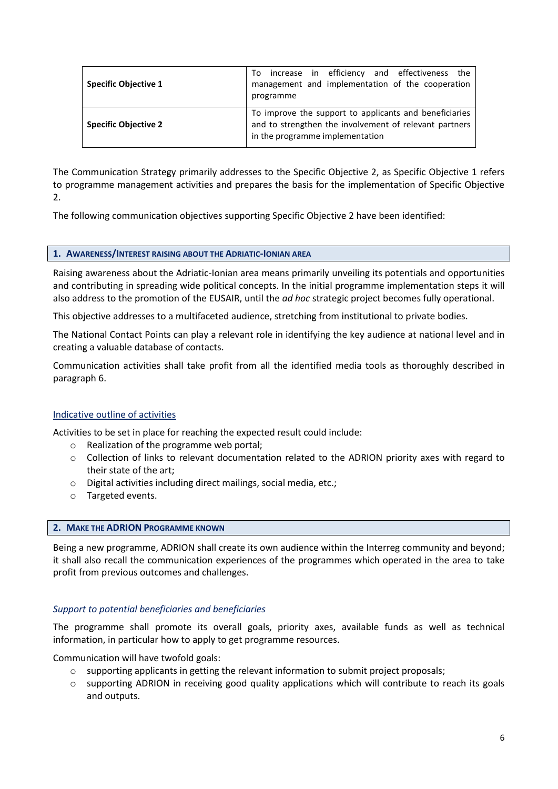| <b>Specific Objective 1</b> | increase in efficiency and effectiveness the<br>To.<br>management and implementation of the cooperation<br>programme                                |  |  |
|-----------------------------|-----------------------------------------------------------------------------------------------------------------------------------------------------|--|--|
| <b>Specific Objective 2</b> | To improve the support to applicants and beneficiaries<br>and to strengthen the involvement of relevant partners<br>in the programme implementation |  |  |

The Communication Strategy primarily addresses to the Specific Objective 2, as Specific Objective 1 refers to programme management activities and prepares the basis for the implementation of Specific Objective 2.

The following communication objectives supporting Specific Objective 2 have been identified:

#### **1. AWARENESS/INTEREST RAISING ABOUT THE ADRIATIC-IONIAN AREA**

Raising awareness about the Adriatic-Ionian area means primarily unveiling its potentials and opportunities and contributing in spreading wide political concepts. In the initial programme implementation steps it will also address to the promotion of the EUSAIR, until the *ad hoc* strategic project becomes fully operational.

This objective addresses to a multifaceted audience, stretching from institutional to private bodies.

The National Contact Points can play a relevant role in identifying the key audience at national level and in creating a valuable database of contacts.

Communication activities shall take profit from all the identified media tools as thoroughly described in paragraph 6.

## Indicative outline of activities

Activities to be set in place for reaching the expected result could include:

- o Realization of the programme web portal;
- o Collection of links to relevant documentation related to the ADRION priority axes with regard to their state of the art;
- o Digital activities including direct mailings, social media, etc.;
- o Targeted events.

#### **2. MAKE THE ADRION PROGRAMME KNOWN**

Being a new programme, ADRION shall create its own audience within the Interreg community and beyond; it shall also recall the communication experiences of the programmes which operated in the area to take profit from previous outcomes and challenges.

#### *Support to potential beneficiaries and beneficiaries*

The programme shall promote its overall goals, priority axes, available funds as well as technical information, in particular how to apply to get programme resources.

Communication will have twofold goals:

- o supporting applicants in getting the relevant information to submit project proposals;
- o supporting ADRION in receiving good quality applications which will contribute to reach its goals and outputs.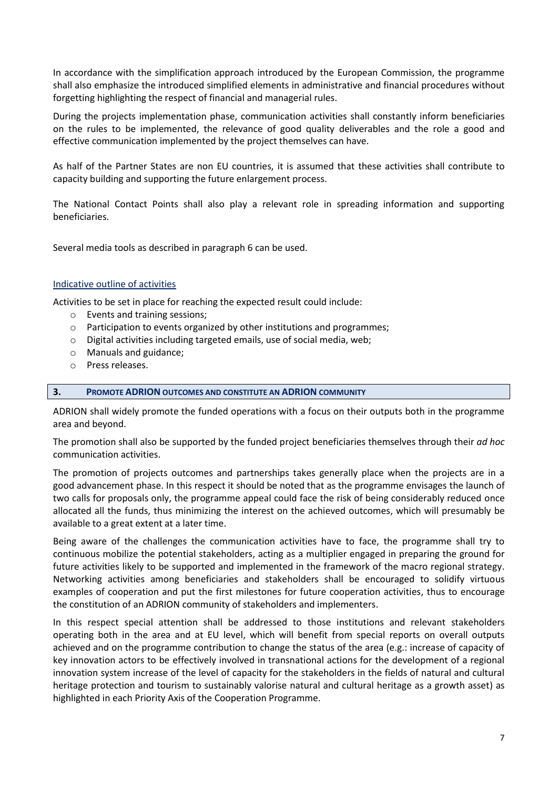In accordance with the simplification approach introduced by the European Commission, the programme shall also emphasize the introduced simplified elements in administrative and financial procedures without forgetting highlighting the respect of financial and managerial rules.

During the projects implementation phase, communication activities shall constantly inform beneficiaries on the rules to be implemented, the relevance of good quality deliverables and the role a good and effective communication implemented by the project themselves can have.

As half of the Partner States are non EU countries, it is assumed that these activities shall contribute to capacity building and supporting the future enlargement process.

The National Contact Points shall also play a relevant role in spreading information and supporting beneficiaries.

Several media tools as described in paragraph 6 can be used.

## Indicative outline of activities

Activities to be set in place for reaching the expected result could include:

- o Events and training sessions;
- o Participation to events organized by other institutions and programmes;
- o Digital activities including targeted emails, use of social media, web;
- o Manuals and guidance;
- o Press releases.

#### **3. PROMOTE ADRION OUTCOMES AND CONSTITUTE AN ADRION COMMUNITY**

ADRION shall widely promote the funded operations with a focus on their outputs both in the programme area and beyond.

The promotion shall also be supported by the funded project beneficiaries themselves through their *ad hoc* communication activities.

The promotion of projects outcomes and partnerships takes generally place when the projects are in a good advancement phase. In this respect it should be noted that as the programme envisages the launch of two calls for proposals only, the programme appeal could face the risk of being considerably reduced once allocated all the funds, thus minimizing the interest on the achieved outcomes, which will presumably be available to a great extent at a later time.

Being aware of the challenges the communication activities have to face, the programme shall try to continuous mobilize the potential stakeholders, acting as a multiplier engaged in preparing the ground for future activities likely to be supported and implemented in the framework of the macro regional strategy. Networking activities among beneficiaries and stakeholders shall be encouraged to solidify virtuous examples of cooperation and put the first milestones for future cooperation activities, thus to encourage the constitution of an ADRION community of stakeholders and implementers.

In this respect special attention shall be addressed to those institutions and relevant stakeholders operating both in the area and at EU level, which will benefit from special reports on overall outputs achieved and on the programme contribution to change the status of the area (e.g.: increase of capacity of key innovation actors to be effectively involved in transnational actions for the development of a regional innovation system increase of the level of capacity for the stakeholders in the fields of natural and cultural heritage protection and tourism to sustainably valorise natural and cultural heritage as a growth asset) as highlighted in each Priority Axis of the Cooperation Programme.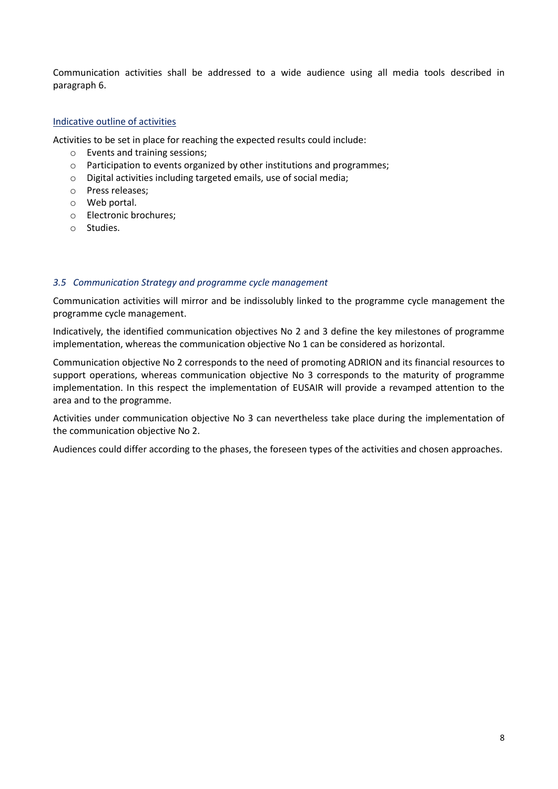Communication activities shall be addressed to a wide audience using all media tools described in paragraph 6.

## Indicative outline of activities

Activities to be set in place for reaching the expected results could include:

- o Events and training sessions;
- o Participation to events organized by other institutions and programmes;
- o Digital activities including targeted emails, use of social media;
- o Press releases;
- o Web portal.
- o Electronic brochures;
- o Studies.

## <span id="page-7-0"></span>*3.5 Communication Strategy and programme cycle management*

Communication activities will mirror and be indissolubly linked to the programme cycle management the programme cycle management.

Indicatively, the identified communication objectives No 2 and 3 define the key milestones of programme implementation, whereas the communication objective No 1 can be considered as horizontal.

Communication objective No 2 corresponds to the need of promoting ADRION and its financial resources to support operations, whereas communication objective No 3 corresponds to the maturity of programme implementation. In this respect the implementation of EUSAIR will provide a revamped attention to the area and to the programme.

Activities under communication objective No 3 can nevertheless take place during the implementation of the communication objective No 2.

Audiences could differ according to the phases, the foreseen types of the activities and chosen approaches.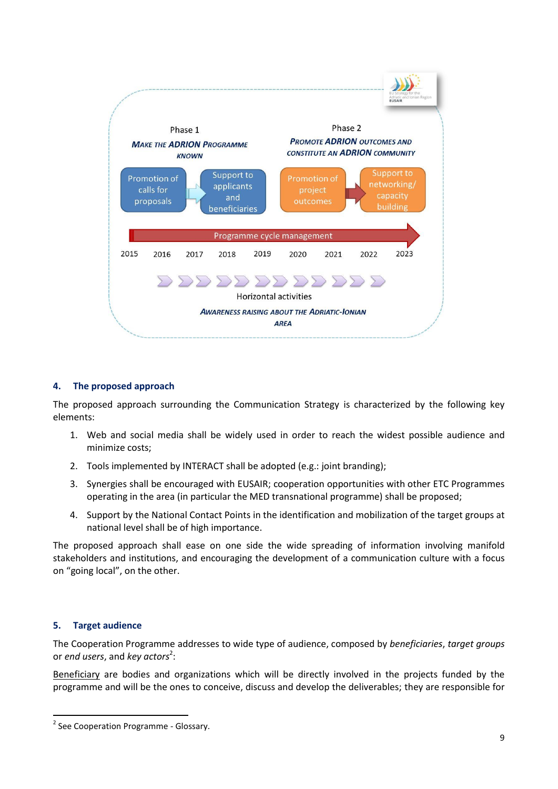

# <span id="page-8-0"></span>**4. The proposed approach**

The proposed approach surrounding the Communication Strategy is characterized by the following key elements:

- 1. Web and social media shall be widely used in order to reach the widest possible audience and minimize costs;
- 2. Tools implemented by INTERACT shall be adopted (e.g.: joint branding);
- 3. Synergies shall be encouraged with EUSAIR; cooperation opportunities with other ETC Programmes operating in the area (in particular the MED transnational programme) shall be proposed;
- 4. Support by the National Contact Points in the identification and mobilization of the target groups at national level shall be of high importance.

The proposed approach shall ease on one side the wide spreading of information involving manifold stakeholders and institutions, and encouraging the development of a communication culture with a focus on "going local", on the other.

## <span id="page-8-1"></span>**5. Target audience**

1

The Cooperation Programme addresses to wide type of audience, composed by *beneficiaries*, *target groups* or *end users*, and *key actors*<sup>2</sup>:

Beneficiary are bodies and organizations which will be directly involved in the projects funded by the programme and will be the ones to conceive, discuss and develop the deliverables; they are responsible for

<sup>&</sup>lt;sup>2</sup> See Cooperation Programme - Glossary.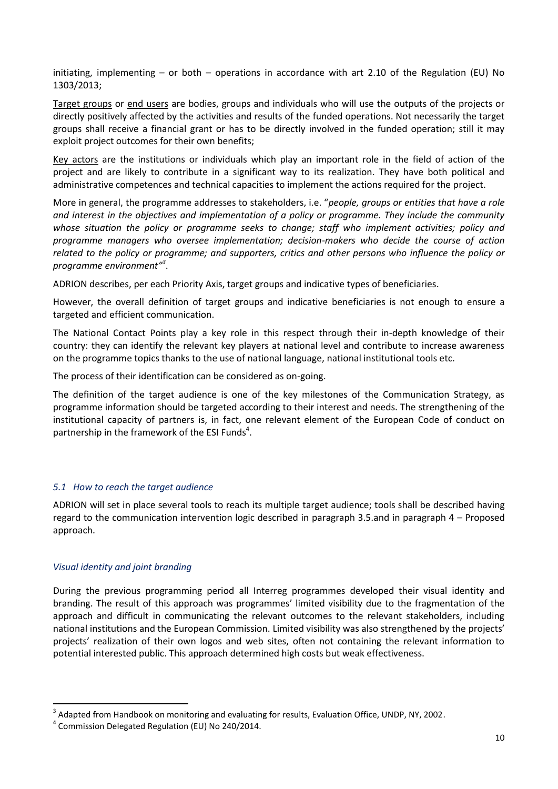initiating, implementing – or both – operations in accordance with art 2.10 of the Regulation (EU) No 1303/2013;

Target groups or end users are bodies, groups and individuals who will use the outputs of the projects or directly positively affected by the activities and results of the funded operations. Not necessarily the target groups shall receive a financial grant or has to be directly involved in the funded operation; still it may exploit project outcomes for their own benefits;

Key actors are the institutions or individuals which play an important role in the field of action of the project and are likely to contribute in a significant way to its realization. They have both political and administrative competences and technical capacities to implement the actions required for the project.

More in general, the programme addresses to stakeholders, i.e. "*people, groups or entities that have a role and interest in the objectives and implementation of a policy or programme. They include the community whose situation the policy or programme seeks to change; staff who implement activities; policy and programme managers who oversee implementation; decision-makers who decide the course of action related to the policy or programme; and supporters, critics and other persons who influence the policy or programme environment" 3* .

ADRION describes, per each Priority Axis, target groups and indicative types of beneficiaries.

However, the overall definition of target groups and indicative beneficiaries is not enough to ensure a targeted and efficient communication.

The National Contact Points play a key role in this respect through their in-depth knowledge of their country: they can identify the relevant key players at national level and contribute to increase awareness on the programme topics thanks to the use of national language, national institutional tools etc.

The process of their identification can be considered as on-going.

The definition of the target audience is one of the key milestones of the Communication Strategy, as programme information should be targeted according to their interest and needs. The strengthening of the institutional capacity of partners is, in fact, one relevant element of the European Code of conduct on partnership in the framework of the ESI Funds<sup>4</sup>.

# <span id="page-9-0"></span>*5.1 How to reach the target audience*

ADRION will set in place several tools to reach its multiple target audience; tools shall be described having regard to the communication intervention logic described in paragraph 3.5.and in paragraph 4 – Proposed approach.

# *Visual identity and joint branding*

 $\overline{a}$ 

During the previous programming period all Interreg programmes developed their visual identity and branding. The result of this approach was programmes' limited visibility due to the fragmentation of the approach and difficult in communicating the relevant outcomes to the relevant stakeholders, including national institutions and the European Commission. Limited visibility was also strengthened by the projects' projects' realization of their own logos and web sites, often not containing the relevant information to potential interested public. This approach determined high costs but weak effectiveness.

 $3$  Adapted from Handbook on monitoring and evaluating for results, Evaluation Office, UNDP, NY, 2002.

<sup>4</sup> Commission Delegated Regulation (EU) No 240/2014.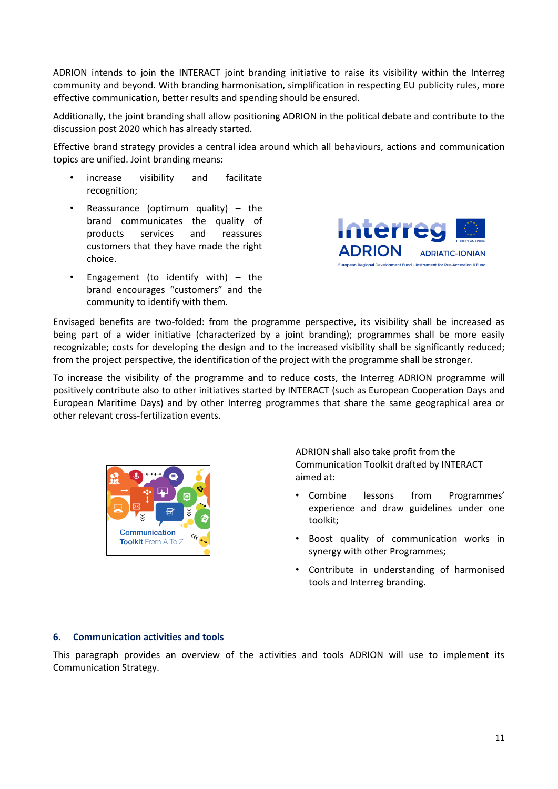ADRION intends to join the INTERACT joint branding initiative to raise its visibility within the Interreg community and beyond. With branding harmonisation, simplification in respecting EU publicity rules, more effective communication, better results and spending should be ensured.

Additionally, the joint branding shall allow positioning ADRION in the political debate and contribute to the discussion post 2020 which has already started.

Effective brand strategy provides a central idea around which all behaviours, actions and communication topics are unified. Joint branding means:

- increase visibility and facilitate recognition;
- Reassurance (optimum quality)  $-$  the brand communicates the quality of products services and reassures customers that they have made the right choice.
- Engagement (to identify with)  $-$  the brand encourages "customers" and the community to identify with them.



Envisaged benefits are two-folded: from the programme perspective, its visibility shall be increased as being part of a wider initiative (characterized by a joint branding); programmes shall be more easily recognizable; costs for developing the design and to the increased visibility shall be significantly reduced; from the project perspective, the identification of the project with the programme shall be stronger.

To increase the visibility of the programme and to reduce costs, the Interreg ADRION programme will positively contribute also to other initiatives started by INTERACT (such as European Cooperation Days and European Maritime Days) and by other Interreg programmes that share the same geographical area or other relevant cross-fertilization events.



ADRION shall also take profit from the Communication Toolkit drafted by INTERACT aimed at:

- Combine lessons from Programmes' experience and draw guidelines under one toolkit;
- Boost quality of communication works in synergy with other Programmes;
- Contribute in understanding of harmonised tools and Interreg branding.

## <span id="page-10-0"></span>**6. Communication activities and tools**

This paragraph provides an overview of the activities and tools ADRION will use to implement its Communication Strategy.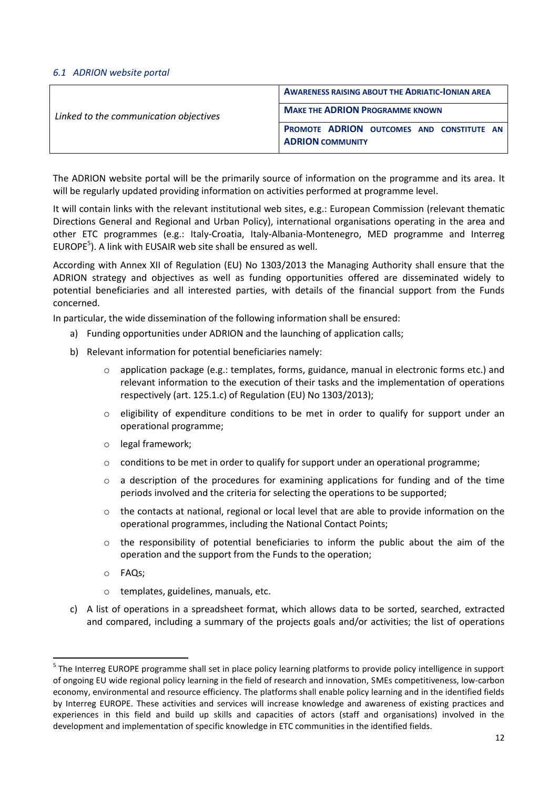#### <span id="page-11-0"></span>*6.1 ADRION website portal*

|                                        | <b>AWARENESS RAISING ABOUT THE ADRIATIC-IONIAN AREA</b>                     |
|----------------------------------------|-----------------------------------------------------------------------------|
| Linked to the communication objectives | <b>MAKE THE ADRION PROGRAMME KNOWN</b>                                      |
|                                        | <b>PROMOTE ADRION OUTCOMES AND CONSTITUTE AN</b><br><b>ADRION COMMUNITY</b> |

The ADRION website portal will be the primarily source of information on the programme and its area. It will be regularly updated providing information on activities performed at programme level.

It will contain links with the relevant institutional web sites, e.g.: European Commission (relevant thematic Directions General and Regional and Urban Policy), international organisations operating in the area and other ETC programmes (e.g.: Italy-Croatia, Italy-Albania-Montenegro, MED programme and Interreg EUROPE<sup>5</sup>). A link with EUSAIR web site shall be ensured as well.

According with Annex XII of Regulation (EU) No 1303/2013 the Managing Authority shall ensure that the ADRION strategy and objectives as well as funding opportunities offered are disseminated widely to potential beneficiaries and all interested parties, with details of the financial support from the Funds concerned.

In particular, the wide dissemination of the following information shall be ensured:

- a) Funding opportunities under ADRION and the launching of application calls;
- b) Relevant information for potential beneficiaries namely:
	- $\circ$  application package (e.g.: templates, forms, guidance, manual in electronic forms etc.) and relevant information to the execution of their tasks and the implementation of operations respectively (art. 125.1.c) of Regulation (EU) No 1303/2013);
	- o eligibility of expenditure conditions to be met in order to qualify for support under an operational programme;
	- o legal framework;
	- $\circ$  conditions to be met in order to qualify for support under an operational programme;
	- $\circ$  a description of the procedures for examining applications for funding and of the time periods involved and the criteria for selecting the operations to be supported;
	- o the contacts at national, regional or local level that are able to provide information on the operational programmes, including the National Contact Points;
	- $\circ$  the responsibility of potential beneficiaries to inform the public about the aim of the operation and the support from the Funds to the operation;
	- o FAQs;

1

- o templates, guidelines, manuals, etc.
- c) A list of operations in a spreadsheet format, which allows data to be sorted, searched, extracted and compared, including a summary of the projects goals and/or activities; the list of operations

<sup>&</sup>lt;sup>5</sup> The Interreg EUROPE programme shall set in place policy learning platforms to provide policy intelligence in support of ongoing EU wide regional policy learning in the field of research and innovation, SMEs competitiveness, low-carbon economy, environmental and resource efficiency. The platforms shall enable policy learning and in the identified fields by Interreg EUROPE. These activities and services will increase knowledge and awareness of existing practices and experiences in this field and build up skills and capacities of actors (staff and organisations) involved in the development and implementation of specific knowledge in ETC communities in the identified fields.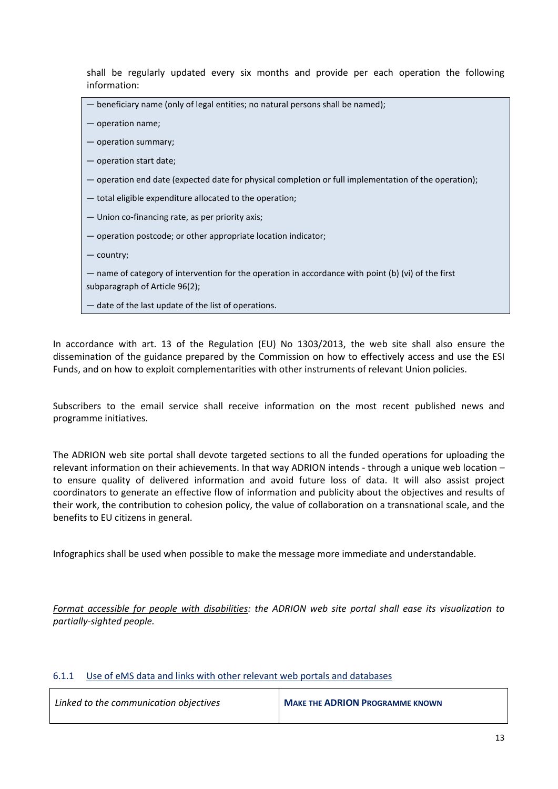shall be regularly updated every six months and provide per each operation the following information:

| - beneficiary name (only of legal entities; no natural persons shall be named);                       |
|-------------------------------------------------------------------------------------------------------|
| - operation name;                                                                                     |
| - operation summary;                                                                                  |
| - operation start date;                                                                               |
| - operation end date (expected date for physical completion or full implementation of the operation); |
| - total eligible expenditure allocated to the operation;                                              |
| — Union co-financing rate, as per priority axis;                                                      |
| - operation postcode; or other appropriate location indicator;                                        |
| - country;                                                                                            |
| - name of category of intervention for the operation in accordance with point (b) (vi) of the first   |
| subparagraph of Article 96(2);                                                                        |
| - date of the last update of the list of operations.                                                  |

In accordance with art. 13 of the Regulation (EU) No 1303/2013, the web site shall also ensure the dissemination of the guidance prepared by the Commission on how to effectively access and use the ESI Funds, and on how to exploit complementarities with other instruments of relevant Union policies.

Subscribers to the email service shall receive information on the most recent published news and programme initiatives.

The ADRION web site portal shall devote targeted sections to all the funded operations for uploading the relevant information on their achievements. In that way ADRION intends - through a unique web location – to ensure quality of delivered information and avoid future loss of data. It will also assist project coordinators to generate an effective flow of information and publicity about the objectives and results of their work, the contribution to cohesion policy, the value of collaboration on a transnational scale, and the benefits to EU citizens in general.

Infographics shall be used when possible to make the message more immediate and understandable.

*Format accessible for people with disabilities: the ADRION web site portal shall ease its visualization to [partially-sighted](http://www.wordreference.com/enit/partially-sighted) people.*

# <span id="page-12-0"></span>6.1.1 Use of eMS data and links with other relevant web portals and databases

| Linked to the communication objectives | <b>MAKE THE ADRION PROGRAMME KNOWN</b> |
|----------------------------------------|----------------------------------------|
|                                        |                                        |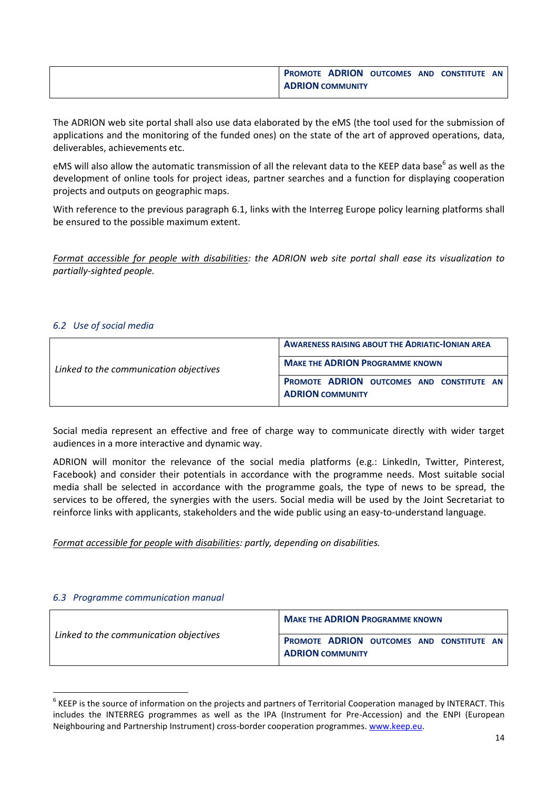|                         |  | <b>PROMOTE ADRION OUTCOMES AND CONSTITUTE AN</b> |  |
|-------------------------|--|--------------------------------------------------|--|
| <b>ADRION COMMUNITY</b> |  |                                                  |  |

The ADRION web site portal shall also use data elaborated by the eMS (the tool used for the submission of applications and the monitoring of the funded ones) on the state of the art of approved operations, data, deliverables, achievements etc.

eMS will also allow the automatic transmission of all the relevant data to the KEEP data base<sup>6</sup> as well as the development of online tools for project ideas, partner searches and a function for displaying cooperation projects and outputs on geographic maps.

With reference to the previous paragraph 6.1, links with the Interreg Europe policy learning platforms shall be ensured to the possible maximum extent.

*Format accessible for people with disabilities: the ADRION web site portal shall ease its visualization to [partially-sighted](http://www.wordreference.com/enit/partially-sighted) people.*

## <span id="page-13-0"></span>*6.2 Use of social media*

|                                        | <b>AWARENESS RAISING ABOUT THE ADRIATIC-IONIAN AREA</b>              |  |  |
|----------------------------------------|----------------------------------------------------------------------|--|--|
| Linked to the communication objectives | <b>MAKE THE ADRION PROGRAMME KNOWN</b>                               |  |  |
|                                        | PROMOTE ADRION OUTCOMES AND CONSTITUTE AN<br><b>ADRION COMMUNITY</b> |  |  |

Social media represent an effective and free of charge way to communicate directly with wider target audiences in a more interactive and dynamic way.

ADRION will monitor the relevance of the social media platforms (e.g.: LinkedIn, Twitter, Pinterest, Facebook) and consider their potentials in accordance with the programme needs. Most suitable social media shall be selected in accordance with the programme goals, the type of news to be spread, the services to be offered, the synergies with the users. Social media will be used by the Joint Secretariat to reinforce links with applicants, stakeholders and the wide public using an easy-to-understand language.

*Format accessible for people with disabilities: partly, depending on disabilities.*

## <span id="page-13-1"></span>*6.3 Programme communication manual*

**.** 

| Linked to the communication objectives | <b>MAKE THE ADRION PROGRAMME KNOWN</b>                               |  |  |
|----------------------------------------|----------------------------------------------------------------------|--|--|
|                                        | PROMOTE ADRION OUTCOMES AND CONSTITUTE AN<br><b>ADRION COMMUNITY</b> |  |  |

<sup>&</sup>lt;sup>6</sup> KEEP is the source of information on the projects and partners of Territorial Cooperation managed by INTERACT. This includes the INTERREG programmes as well as the IPA (Instrument for Pre-Accession) and the ENPI (European Neighbouring and Partnership Instrument) cross-border cooperation programmes. [www.keep.eu.](http://www.keep.eu/)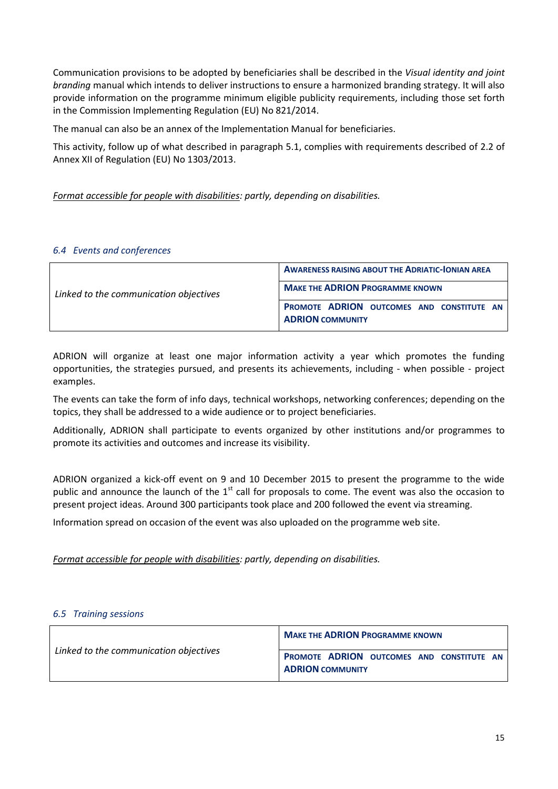Communication provisions to be adopted by beneficiaries shall be described in the *Visual identity and joint branding* manual which intends to deliver instructions to ensure a harmonized branding strategy. It will also provide information on the programme minimum eligible publicity requirements, including those set forth in the Commission Implementing Regulation (EU) No 821/2014.

The manual can also be an annex of the Implementation Manual for beneficiaries.

This activity, follow up of what described in paragraph 5.1, complies with requirements described of 2.2 of Annex XII of Regulation (EU) No 1303/2013.

*Format accessible for people with disabilities: partly, depending on disabilities.*

## <span id="page-14-0"></span>*6.4 Events and conferences*

|                                        | <b>AWARENESS RAISING ABOUT THE ADRIATIC-IONIAN AREA</b>              |  |  |  |
|----------------------------------------|----------------------------------------------------------------------|--|--|--|
| Linked to the communication objectives | <b>MAKE THE ADRION PROGRAMME KNOWN</b>                               |  |  |  |
|                                        | PROMOTE ADRION OUTCOMES AND CONSTITUTE AN<br><b>ADRION COMMUNITY</b> |  |  |  |

ADRION will organize at least one major information activity a year which promotes the funding opportunities, the strategies pursued, and presents its achievements, including - when possible - project examples.

The events can take the form of info days, technical workshops, networking conferences; depending on the topics, they shall be addressed to a wide audience or to project beneficiaries.

Additionally, ADRION shall participate to events organized by other institutions and/or programmes to promote its activities and outcomes and increase its visibility.

ADRION organized a kick-off event on 9 and 10 December 2015 to present the programme to the wide public and announce the launch of the  $1<sup>st</sup>$  call for proposals to come. The event was also the occasion to present project ideas. Around 300 participants took place and 200 followed the event via streaming.

Information spread on occasion of the event was also uploaded on the programme web site.

*Format accessible for people with disabilities: partly, depending on disabilities.*

## <span id="page-14-1"></span>*6.5 Training sessions*

| Linked to the communication objectives | <b>MAKE THE ADRION PROGRAMME KNOWN</b>                               |  |  |  |
|----------------------------------------|----------------------------------------------------------------------|--|--|--|
|                                        | PROMOTE ADRION OUTCOMES AND CONSTITUTE AN<br><b>ADRION COMMUNITY</b> |  |  |  |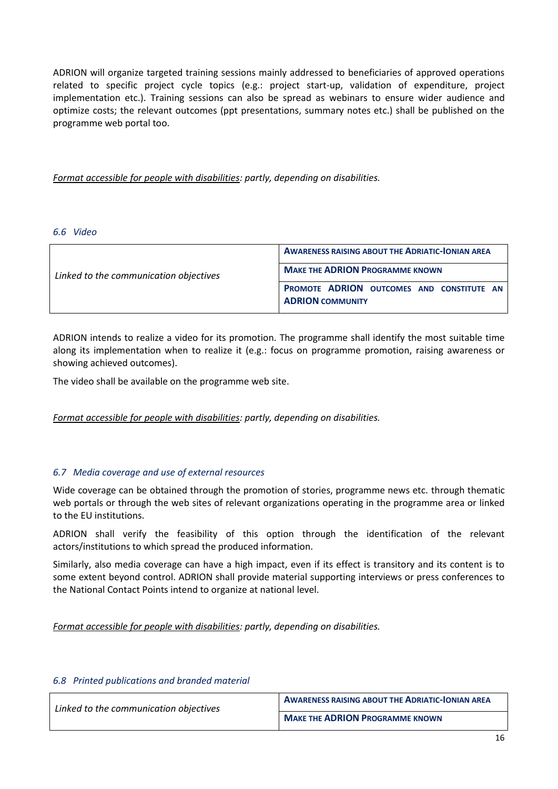ADRION will organize targeted training sessions mainly addressed to beneficiaries of approved operations related to specific project cycle topics (e.g.: project start-up, validation of expenditure, project implementation etc.). Training sessions can also be spread as webinars to ensure wider audience and optimize costs; the relevant outcomes (ppt presentations, summary notes etc.) shall be published on the programme web portal too.

*Format accessible for people with disabilities: partly, depending on disabilities.*

#### <span id="page-15-0"></span>*6.6 Video*

|                                        | <b>AWARENESS RAISING ABOUT THE ADRIATIC-IONIAN AREA</b>                     |
|----------------------------------------|-----------------------------------------------------------------------------|
| Linked to the communication objectives | <b>MAKE THE ADRION PROGRAMME KNOWN</b>                                      |
|                                        | <b>PROMOTE ADRION OUTCOMES AND CONSTITUTE AN</b><br><b>ADRION COMMUNITY</b> |

ADRION intends to realize a video for its promotion. The programme shall identify the most suitable time along its implementation when to realize it (e.g.: focus on programme promotion, raising awareness or showing achieved outcomes).

The video shall be available on the programme web site.

*Format accessible for people with disabilities: partly, depending on disabilities.*

# <span id="page-15-1"></span>*6.7 Media coverage and use of external resources*

Wide coverage can be obtained through the promotion of stories, programme news etc. through thematic web portals or through the web sites of relevant organizations operating in the programme area or linked to the EU institutions.

ADRION shall verify the feasibility of this option through the identification of the relevant actors/institutions to which spread the produced information.

Similarly, also media coverage can have a high impact, even if its effect is transitory and its content is to some extent beyond control. ADRION shall provide material supporting interviews or press conferences to the National Contact Points intend to organize at national level.

*Format accessible for people with disabilities: partly, depending on disabilities.*

## <span id="page-15-2"></span>*6.8 Printed publications and branded material*

| Linked to the communication objectives | <b>AWARENESS RAISING ABOUT THE ADRIATIC-IONIAN AREA</b> |
|----------------------------------------|---------------------------------------------------------|
|                                        | <b>MAKE THE ADRION PROGRAMME KNOWN</b>                  |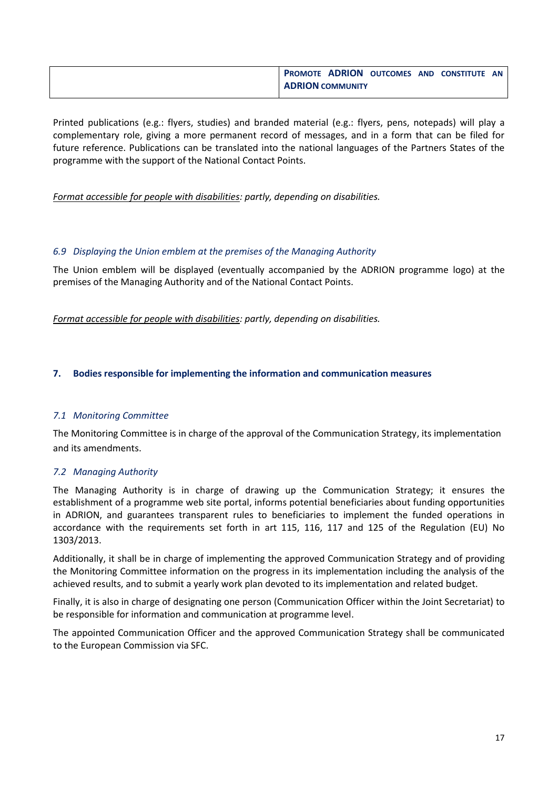| <b>PROMOTE ADRION</b>   |  | OUTCOMES AND CONSTITUTE AN |  |
|-------------------------|--|----------------------------|--|
| <b>ADRION COMMUNITY</b> |  |                            |  |

Printed publications (e.g.: flyers, studies) and branded material (e.g.: flyers, pens, notepads) will play a complementary role, giving a more permanent record of messages, and in a form that can be filed for future reference. Publications can be translated into the national languages of the Partners States of the programme with the support of the National Contact Points.

*Format accessible for people with disabilities: partly, depending on disabilities.*

# <span id="page-16-0"></span>*6.9 Displaying the Union emblem at the premises of the Managing Authority*

The Union emblem will be displayed (eventually accompanied by the ADRION programme logo) at the premises of the Managing Authority and of the National Contact Points.

*Format accessible for people with disabilities: partly, depending on disabilities.*

# <span id="page-16-1"></span>**7. Bodies responsible for implementing the information and communication measures**

## <span id="page-16-2"></span>*7.1 Monitoring Committee*

The Monitoring Committee is in charge of the approval of the Communication Strategy, its implementation and its amendments.

## <span id="page-16-3"></span>*7.2 Managing Authority*

The Managing Authority is in charge of drawing up the Communication Strategy; it ensures the establishment of a programme web site portal, informs potential beneficiaries about funding opportunities in ADRION, and guarantees transparent rules to beneficiaries to implement the funded operations in accordance with the requirements set forth in art 115, 116, 117 and 125 of the Regulation (EU) No 1303/2013.

Additionally, it shall be in charge of implementing the approved Communication Strategy and of providing the Monitoring Committee information on the progress in its implementation including the analysis of the achieved results, and to submit a yearly work plan devoted to its implementation and related budget.

Finally, it is also in charge of designating one person (Communication Officer within the Joint Secretariat) to be responsible for information and communication at programme level.

The appointed Communication Officer and the approved Communication Strategy shall be communicated to the European Commission via SFC.